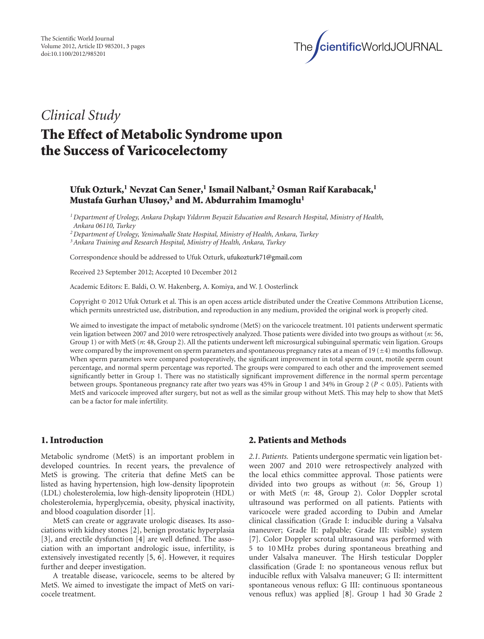

## *Clinical Study*

# **The Effect of Metabolic Syndrome upon the Success of Varicocelectomy**

## **Ufuk Ozturk,1 Nevzat Can Sener,1 Ismail Nalbant,2 Osman Raif Karabacak,1 Mustafa Gurhan Ulusoy,3 and M. Abdurrahim Imamoglu1**

*1Department of Urology, Ankara Dı¸kap s ı Yıldırım Beyazit Education and Research Hospital, Ministry of Health, Ankara 06110, Turkey*

*2Department of Urology, Yenimahalle State Hospital, Ministry of Health, Ankara, Turkey*

*3Ankara Training and Research Hospital, Ministry of Health, Ankara, Turkey*

Correspondence should be addressed to Ufuk Ozturk, ufukozturk71@gmail.com

Received 23 September 2012; Accepted 10 December 2012

Academic Editors: E. Baldi, O. W. Hakenberg, A. Komiya, and W. J. Oosterlinck

Copyright © 2012 Ufuk Ozturk et al. This is an open access article distributed under the Creative Commons Attribution License, which permits unrestricted use, distribution, and reproduction in any medium, provided the original work is properly cited.

We aimed to investigate the impact of metabolic syndrome (MetS) on the varicocele treatment. 101 patients underwent spermatic vein ligation between 2007 and 2010 were retrospectively analyzed. Those patients were divided into two groups as without (*n*: 56, Group 1) or with MetS (*n*: 48, Group 2). All the patients underwent left microsurgical subinguinal spermatic vein ligation. Groups were compared by the improvement on sperm parameters and spontaneous pregnancy rates at a mean of 19 ( $\pm$ 4) months followup. When sperm parameters were compared postoperatively, the significant improvement in total sperm count, motile sperm count percentage, and normal sperm percentage was reported. The groups were compared to each other and the improvement seemed significantly better in Group 1. There was no statistically significant improvement difference in the normal sperm percentage between groups. Spontaneous pregnancy rate after two years was 45% in Group 1 and 34% in Group 2 (*P <* 0*.*05). Patients with MetS and varicocele improved after surgery, but not as well as the similar group without MetS. This may help to show that MetS can be a factor for male infertility.

## **1. Introduction**

Metabolic syndrome (MetS) is an important problem in developed countries. In recent years, the prevalence of MetS is growing. The criteria that define MetS can be listed as having hypertension, high low-density lipoprotein (LDL) cholesterolemia, low high-density lipoprotein (HDL) cholesterolemia, hyperglycemia, obesity, physical inactivity, and blood coagulation disorder [1].

MetS can create or aggravate urologic diseases. Its associations with kidney stones [2], benign prostatic hyperplasia [3], and erectile dysfunction [4] are well defined. The association with an important andrologic issue, infertility, is extensively investigated recently [5, 6]. However, it requires further and deeper investigation.

A treatable disease, varicocele, seems to be altered by MetS. We aimed to investigate the impact of MetS on varicocele treatment.

## **2. Patients and Methods**

*2.1. Patients.* Patients undergone spermatic vein ligation between 2007 and 2010 were retrospectively analyzed with the local ethics committee approval. Those patients were divided into two groups as without (*n*: 56, Group 1) or with MetS (*n*: 48, Group 2). Color Doppler scrotal ultrasound was performed on all patients. Patients with varicocele were graded according to Dubin and Amelar clinical classification (Grade I: inducible during a Valsalva maneuver; Grade II: palpable; Grade III: visible) system [7]. Color Doppler scrotal ultrasound was performed with 5 to 10 MHz probes during spontaneous breathing and under Valsalva maneuver. The Hirsh testicular Doppler classification (Grade I: no spontaneous venous reflux but inducible reflux with Valsalva maneuver; G II: intermittent spontaneous venous reflux: G III: continuous spontaneous venous reflux) was applied [8]. Group 1 had 30 Grade 2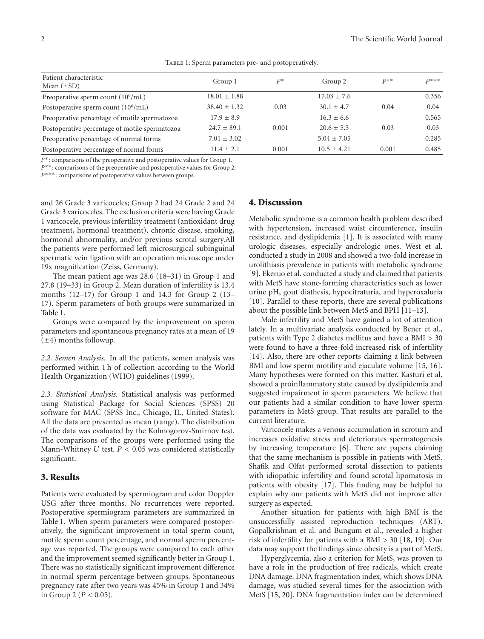| Patient characteristic<br>Mean $(\pm SD)$      | Group 1          | $P^*$ | Group 2         | $D$ ** | $D***$ |
|------------------------------------------------|------------------|-------|-----------------|--------|--------|
| Preoperative sperm count $(10^6/mL)$           | $18.01 \pm 1.88$ |       | $17.03 \pm 7.6$ |        | 0.356  |
| Postoperative sperm count $(10^6$ /mL)         | $38.40 \pm 1.32$ | 0.03  | $30.1 + 4.7$    | 0.04   | 0.04   |
| Preoperative percentage of motile spermatozoa  | $17.9 + 8.9$     |       | $16.3 \pm 6.6$  |        | 0.565  |
| Postoperative percentage of motile spermatozoa | $24.7 + 89.1$    | 0.001 | $20.6 + 5.5$    | 0.03   | 0.03   |
| Preoperative percentage of normal forms        | $7.01 \pm 3.02$  |       | $5.04 + 7.05$   |        | 0.285  |
| Postoperative percentage of normal forms       | $11.4 \pm 2.1$   | 0.001 | $10.5 + 4.21$   | 0.001  | 0.485  |

TABLE 1: Sperm parameters pre- and postoperatively.

*P*<sup>∗</sup>: comparisons of the preoperative and postoperative values for Group 1.

*P*<sup>∗∗</sup>: comparisons of the preoperative and postoperative values for Group 2.

*P*<sup>∗</sup>\*\*: comparisons of postoperative values between groups.

and 26 Grade 3 varicoceles; Group 2 had 24 Grade 2 and 24 Grade 3 varicoceles. The exclusion criteria were having Grade 1 varicocele, previous infertility treatment (antioxidant drug treatment, hormonal treatment), chronic disease, smoking, hormonal abnormality, and/or previous scrotal surgery.All the patients were performed left microsurgical subinguinal spermatic vein ligation with an operation microscope under 19x magnification (Zeiss, Germany).

The mean patient age was 28.6 (18–31) in Group 1 and 27.8 (19–33) in Group 2. Mean duration of infertility is 13.4 months (12–17) for Group 1 and 14.3 for Group 2 (13– 17). Sperm parameters of both groups were summarized in Table 1.

Groups were compared by the improvement on sperm parameters and spontaneous pregnancy rates at a mean of 19  $(\pm 4)$  months followup.

*2.2. Semen Analysis.* In all the patients, semen analysis was performed within 1 h of collection according to the World Health Organization (WHO) guidelines (1999).

*2.3. Statistical Analysis.* Statistical analysis was performed using Statistical Package for Social Sciences (SPSS) 20 software for MAC (SPSS Inc., Chicago, IL, United States). All the data are presented as mean (range). The distribution of the data was evaluated by the Kolmogorov-Smirnov test. The comparisons of the groups were performed using the Mann-Whitney *U* test. *P <* 0*.*05 was considered statistically significant.

#### **3. Results**

Patients were evaluated by spermiogram and color Doppler USG after three months. No recurrences were reported. Postoperative spermiogram parameters are summarized in Table 1. When sperm parameters were compared postoperatively, the significant improvement in total sperm count, motile sperm count percentage, and normal sperm percentage was reported. The groups were compared to each other and the improvement seemed significantly better in Group 1. There was no statistically significant improvement difference in normal sperm percentage between groups. Spontaneous pregnancy rate after two years was 45% in Group 1 and 34% in Group 2 (*P <* 0*.*05).

#### **4. Discussion**

Metabolic syndrome is a common health problem described with hypertension, increased waist circumference, insulin resistance, and dyslipidemia [1]. It is associated with many urologic diseases, especially andrologic ones. West et al. conducted a study in 2008 and showed a two-fold increase in urolithiasis prevalence in patients with metabolic syndrome [9]. Ekeruo et al. conducted a study and claimed that patients with MetS have stone-forming characteristics such as lower urine pH, gout diathesis, hypocitraturia, and hyperoxaluria [10]. Parallel to these reports, there are several publications about the possible link between MetS and BPH [11–13].

Male infertility and MetS have gained a lot of attention lately. In a multivariate analysis conducted by Bener et al., patients with Type 2 diabetes mellitus and have a BMI *>* 30 were found to have a three-fold increased risk of infertility [14]. Also, there are other reports claiming a link between BMI and low sperm motility and ejaculate volume [15, 16]. Many hypotheses were formed on this matter. Kasturi et al. showed a proinflammatory state caused by dyslipidemia and suggested impairment in sperm parameters. We believe that our patients had a similar condition to have lower sperm parameters in MetS group. That results are parallel to the current literature.

Varicocele makes a venous accumulation in scrotum and increases oxidative stress and deteriorates spermatogenesis by increasing temperature [6]. There are papers claiming that the same mechanism is possible in patients with MetS. Shafik and Olfat performed scrotal dissection to patients with idiopathic infertility and found scrotal lipomatosis in patients with obesity [17]. This finding may be helpful to explain why our patients with MetS did not improve after surgery as expected.

Another situation for patients with high BMI is the unsuccessfully assisted reproduction techniques (ART). Gopalkrishnan et al. and Bungum et al., revealed a higher risk of infertility for patients with a BMI *>* 30 [18, 19]. Our data may support the findings since obesity is a part of MetS.

Hyperglycemia, also a criterion for MetS, was proven to have a role in the production of free radicals, which create DNA damage. DNA fragmentation index, which shows DNA damage, was studied several times for the association with MetS [15, 20]. DNA fragmentation index can be determined